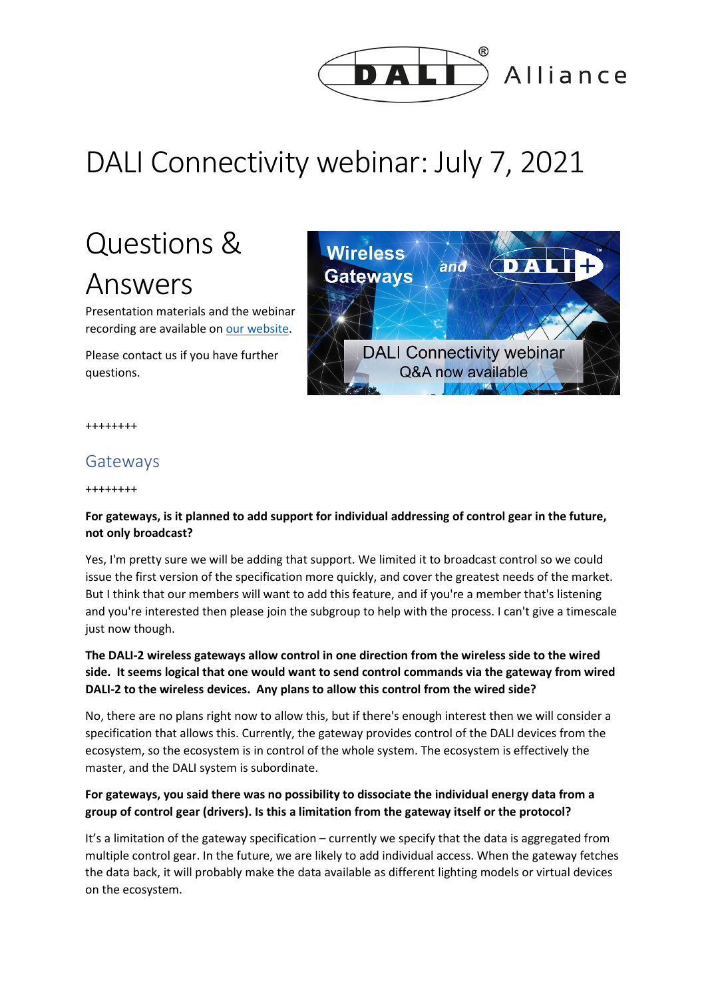

Alliance

# DALI Connectivity webinar: July 7, 2021

# Questions & Answers

Presentation materials and the webinar recording are available o[n our website.](http://www.dali-alliance.org/news/312/dali-connectivity-webinar-materials-available)

Please contact us if you have further questions.



++++++++

# Gateways

++++++++

# **For gateways, is it planned to add support for individual addressing of control gear in the future, not only broadcast?**

Yes, I'm pretty sure we will be adding that support. We limited it to broadcast control so we could issue the first version of the specification more quickly, and cover the greatest needs of the market. But I think that our members will want to add this feature, and if you're a member that's listening and you're interested then please join the subgroup to help with the process. I can't give a timescale just now though.

# **The DALI-2 wireless gateways allow control in one direction from the wireless side to the wired side. It seems logical that one would want to send control commands via the gateway from wired DALI-2 to the wireless devices. Any plans to allow this control from the wired side?**

No, there are no plans right now to allow this, but if there's enough interest then we will consider a specification that allows this. Currently, the gateway provides control of the DALI devices from the ecosystem, so the ecosystem is in control of the whole system. The ecosystem is effectively the master, and the DALI system is subordinate.

# **For gateways, you said there was no possibility to dissociate the individual energy data from a group of control gear (drivers). Is this a limitation from the gateway itself or the protocol?**

It's a limitation of the gateway specification – currently we specify that the data is aggregated from multiple control gear. In the future, we are likely to add individual access. When the gateway fetches the data back, it will probably make the data available as different lighting models or virtual devices on the ecosystem.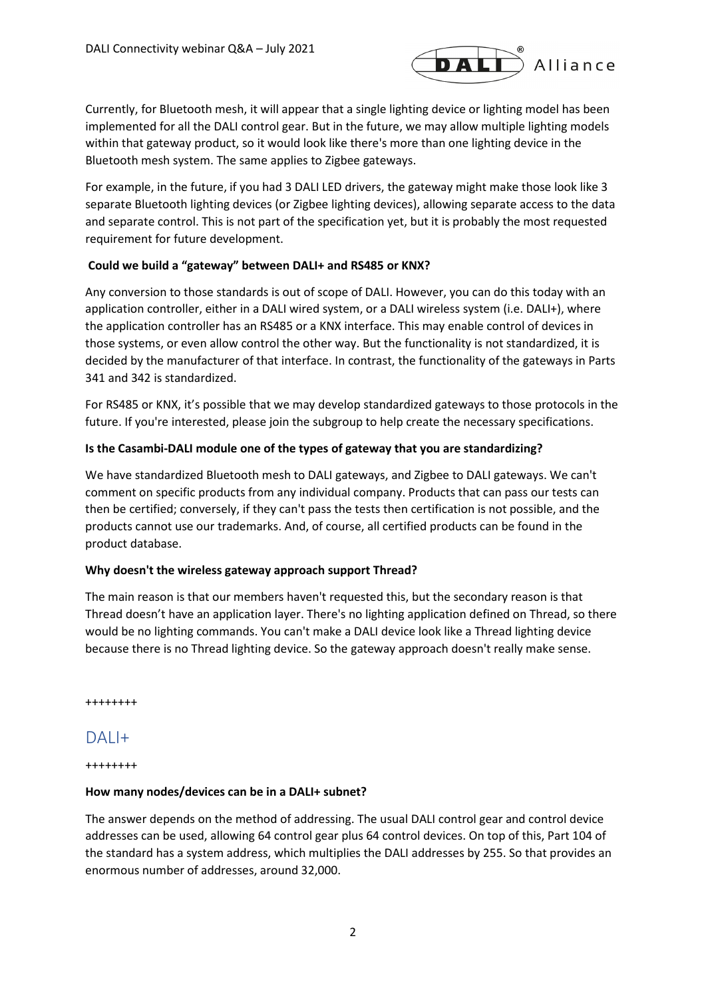

Currently, for Bluetooth mesh, it will appear that a single lighting device or lighting model has been implemented for all the DALI control gear. But in the future, we may allow multiple lighting models within that gateway product, so it would look like there's more than one lighting device in the Bluetooth mesh system. The same applies to Zigbee gateways.

For example, in the future, if you had 3 DALI LED drivers, the gateway might make those look like 3 separate Bluetooth lighting devices (or Zigbee lighting devices), allowing separate access to the data and separate control. This is not part of the specification yet, but it is probably the most requested requirement for future development.

#### **Could we build a "gateway" between DALI+ and RS485 or KNX?**

Any conversion to those standards is out of scope of DALI. However, you can do this today with an application controller, either in a DALI wired system, or a DALI wireless system (i.e. DALI+), where the application controller has an RS485 or a KNX interface. This may enable control of devices in those systems, or even allow control the other way. But the functionality is not standardized, it is decided by the manufacturer of that interface. In contrast, the functionality of the gateways in Parts 341 and 342 is standardized.

For RS485 or KNX, it's possible that we may develop standardized gateways to those protocols in the future. If you're interested, please join the subgroup to help create the necessary specifications.

## **Is the Casambi-DALI module one of the types of gateway that you are standardizing?**

We have standardized Bluetooth mesh to DALI gateways, and Zigbee to DALI gateways. We can't comment on specific products from any individual company. Products that can pass our tests can then be certified; conversely, if they can't pass the tests then certification is not possible, and the products cannot use our trademarks. And, of course, all certified products can be found in the product database.

## **Why doesn't the wireless gateway approach support Thread?**

The main reason is that our members haven't requested this, but the secondary reason is that Thread doesn't have an application layer. There's no lighting application defined on Thread, so there would be no lighting commands. You can't make a DALI device look like a Thread lighting device because there is no Thread lighting device. So the gateway approach doesn't really make sense.

++++++++

# DAL<sub>I+</sub>

++++++++

#### **How many nodes/devices can be in a DALI+ subnet?**

The answer depends on the method of addressing. The usual DALI control gear and control device addresses can be used, allowing 64 control gear plus 64 control devices. On top of this, Part 104 of the standard has a system address, which multiplies the DALI addresses by 255. So that provides an enormous number of addresses, around 32,000.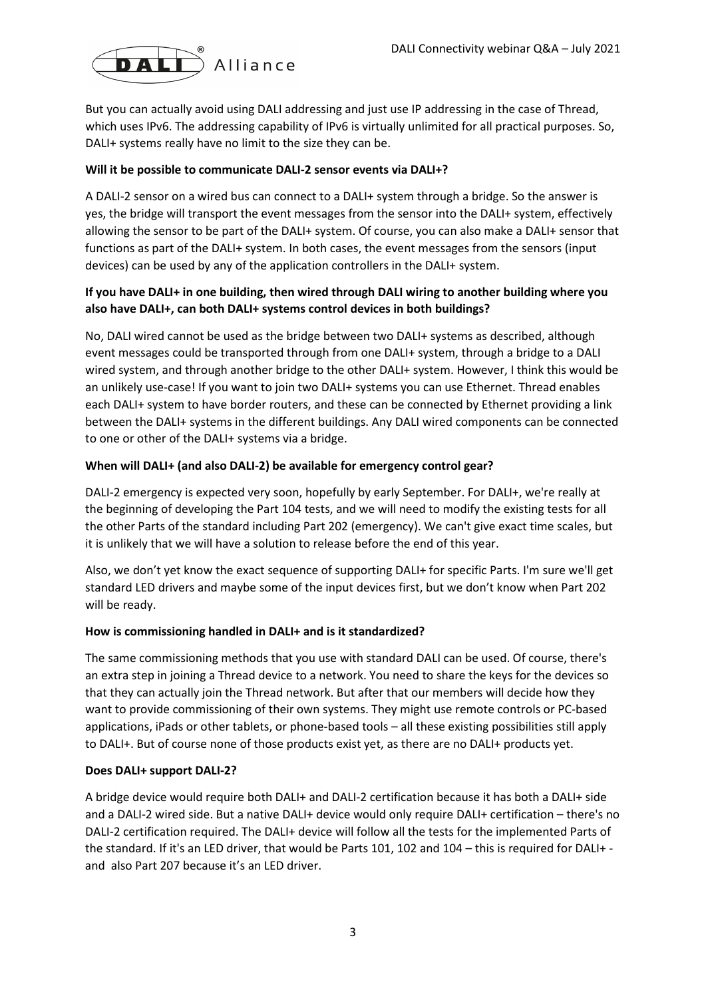

But you can actually avoid using DALI addressing and just use IP addressing in the case of Thread, which uses IPv6. The addressing capability of IPv6 is virtually unlimited for all practical purposes. So, DALI+ systems really have no limit to the size they can be.

## **Will it be possible to communicate DALI-2 sensor events via DALI+?**

A DALI-2 sensor on a wired bus can connect to a DALI+ system through a bridge. So the answer is yes, the bridge will transport the event messages from the sensor into the DALI+ system, effectively allowing the sensor to be part of the DALI+ system. Of course, you can also make a DALI+ sensor that functions as part of the DALI+ system. In both cases, the event messages from the sensors (input devices) can be used by any of the application controllers in the DALI+ system.

# **If you have DALI+ in one building, then wired through DALI wiring to another building where you also have DALI+, can both DALI+ systems control devices in both buildings?**

No, DALI wired cannot be used as the bridge between two DALI+ systems as described, although event messages could be transported through from one DALI+ system, through a bridge to a DALI wired system, and through another bridge to the other DALI+ system. However, I think this would be an unlikely use-case! If you want to join two DALI+ systems you can use Ethernet. Thread enables each DALI+ system to have border routers, and these can be connected by Ethernet providing a link between the DALI+ systems in the different buildings. Any DALI wired components can be connected to one or other of the DALI+ systems via a bridge.

#### **When will DALI+ (and also DALI-2) be available for emergency control gear?**

DALI-2 emergency is expected very soon, hopefully by early September. For DALI+, we're really at the beginning of developing the Part 104 tests, and we will need to modify the existing tests for all the other Parts of the standard including Part 202 (emergency). We can't give exact time scales, but it is unlikely that we will have a solution to release before the end of this year.

Also, we don't yet know the exact sequence of supporting DALI+ for specific Parts. I'm sure we'll get standard LED drivers and maybe some of the input devices first, but we don't know when Part 202 will be ready.

#### **How is commissioning handled in DALI+ and is it standardized?**

The same commissioning methods that you use with standard DALI can be used. Of course, there's an extra step in joining a Thread device to a network. You need to share the keys for the devices so that they can actually join the Thread network. But after that our members will decide how they want to provide commissioning of their own systems. They might use remote controls or PC-based applications, iPads or other tablets, or phone-based tools – all these existing possibilities still apply to DALI+. But of course none of those products exist yet, as there are no DALI+ products yet.

#### **Does DALI+ support DALI-2?**

A bridge device would require both DALI+ and DALI-2 certification because it has both a DALI+ side and a DALI-2 wired side. But a native DALI+ device would only require DALI+ certification – there's no DALI-2 certification required. The DALI+ device will follow all the tests for the implemented Parts of the standard. If it's an LED driver, that would be Parts 101, 102 and 104 – this is required for DALI+ and also Part 207 because it's an LED driver.